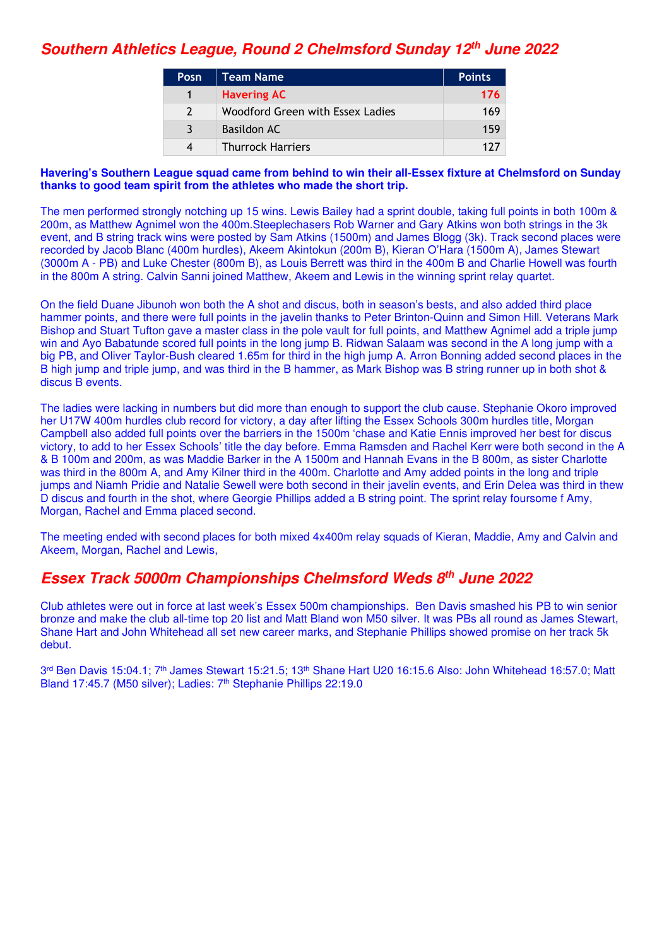## **Southern Athletics League, Round 2 Chelmsford Sunday 12th June 2022**

| <b>Posn</b>   | Team Name                        | <b>Points</b> |
|---------------|----------------------------------|---------------|
|               | <b>Havering AC</b>               | 176           |
| $\mathcal{L}$ | Woodford Green with Essex Ladies | 169           |
| २             | Basildon AC                      | 159           |
| Δ             | <b>Thurrock Harriers</b>         | 177           |

#### **Havering's Southern League squad came from behind to win their all-Essex fixture at Chelmsford on Sunday thanks to good team spirit from the athletes who made the short trip.**

The men performed strongly notching up 15 wins. Lewis Bailey had a sprint double, taking full points in both 100m & 200m, as Matthew Agnimel won the 400m.Steeplechasers Rob Warner and Gary Atkins won both strings in the 3k event, and B string track wins were posted by Sam Atkins (1500m) and James Blogg (3k). Track second places were recorded by Jacob Blanc (400m hurdles), Akeem Akintokun (200m B), Kieran O'Hara (1500m A), James Stewart (3000m A - PB) and Luke Chester (800m B), as Louis Berrett was third in the 400m B and Charlie Howell was fourth in the 800m A string. Calvin Sanni joined Matthew, Akeem and Lewis in the winning sprint relay quartet.

On the field Duane Jibunoh won both the A shot and discus, both in season's bests, and also added third place hammer points, and there were full points in the javelin thanks to Peter Brinton-Quinn and Simon Hill. Veterans Mark Bishop and Stuart Tufton gave a master class in the pole vault for full points, and Matthew Agnimel add a triple jump win and Ayo Babatunde scored full points in the long jump B. Ridwan Salaam was second in the A long jump with a big PB, and Oliver Taylor-Bush cleared 1.65m for third in the high jump A. Arron Bonning added second places in the B high jump and triple jump, and was third in the B hammer, as Mark Bishop was B string runner up in both shot & discus B events.

The ladies were lacking in numbers but did more than enough to support the club cause. Stephanie Okoro improved her U17W 400m hurdles club record for victory, a day after lifting the Essex Schools 300m hurdles title, Morgan Campbell also added full points over the barriers in the 1500m 'chase and Katie Ennis improved her best for discus victory, to add to her Essex Schools' title the day before. Emma Ramsden and Rachel Kerr were both second in the A & B 100m and 200m, as was Maddie Barker in the A 1500m and Hannah Evans in the B 800m, as sister Charlotte was third in the 800m A, and Amy Kilner third in the 400m. Charlotte and Amy added points in the long and triple jumps and Niamh Pridie and Natalie Sewell were both second in their javelin events, and Erin Delea was third in thew D discus and fourth in the shot, where Georgie Phillips added a B string point. The sprint relay foursome f Amy, Morgan, Rachel and Emma placed second.

The meeting ended with second places for both mixed 4x400m relay squads of Kieran, Maddie, Amy and Calvin and Akeem, Morgan, Rachel and Lewis,

### **Essex Track 5000m Championships Chelmsford Weds 8th June 2022**

Club athletes were out in force at last week's Essex 500m championships. Ben Davis smashed his PB to win senior bronze and make the club all-time top 20 list and Matt Bland won M50 silver. It was PBs all round as James Stewart, Shane Hart and John Whitehead all set new career marks, and Stephanie Phillips showed promise on her track 5k debut.

3<sup>rd</sup> Ben Davis 15:04.1; 7<sup>th</sup> James Stewart 15:21.5; 13<sup>th</sup> Shane Hart U20 16:15.6 Also: John Whitehead 16:57.0; Matt Bland 17:45.7 (M50 silver); Ladies: 7<sup>th</sup> Stephanie Phillips 22:19.0